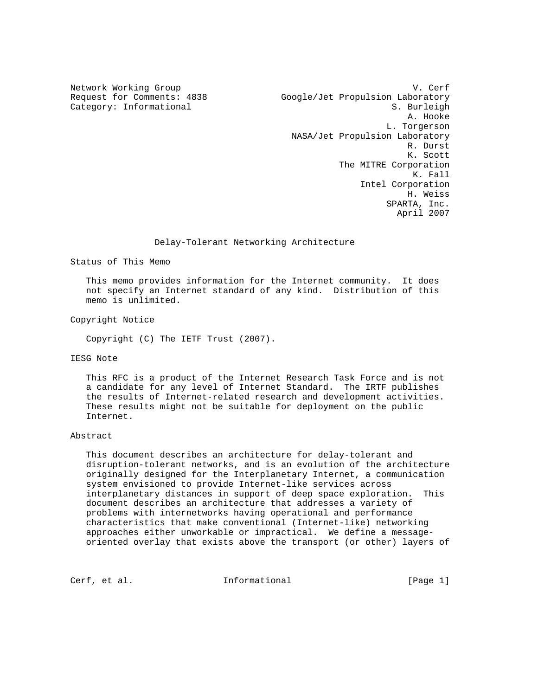Network Working Group<br>Request for Comments: 4838 (Google/Jet Propulsion Laboratory Google/Jet Propulsion Laboratory Category: Informational S. Burleigh A. Hooke L. Torgerson NASA/Jet Propulsion Laboratory R. Durst K. Scott The MITRE Corporation K. Fall Intel Corporation H. Weiss SPARTA, Inc. April 2007

## Delay-Tolerant Networking Architecture

Status of This Memo

 This memo provides information for the Internet community. It does not specify an Internet standard of any kind. Distribution of this memo is unlimited.

Copyright Notice

Copyright (C) The IETF Trust (2007).

IESG Note

 This RFC is a product of the Internet Research Task Force and is not a candidate for any level of Internet Standard. The IRTF publishes the results of Internet-related research and development activities. These results might not be suitable for deployment on the public Internet.

#### Abstract

 This document describes an architecture for delay-tolerant and disruption-tolerant networks, and is an evolution of the architecture originally designed for the Interplanetary Internet, a communication system envisioned to provide Internet-like services across interplanetary distances in support of deep space exploration. This document describes an architecture that addresses a variety of problems with internetworks having operational and performance characteristics that make conventional (Internet-like) networking approaches either unworkable or impractical. We define a message oriented overlay that exists above the transport (or other) layers of

Cerf, et al. **Informational** [Page 1]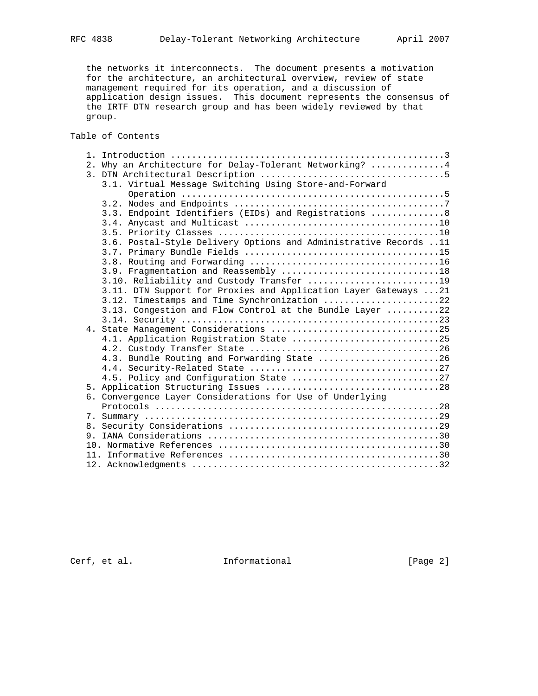the networks it interconnects. The document presents a motivation for the architecture, an architectural overview, review of state management required for its operation, and a discussion of application design issues. This document represents the consensus of the IRTF DTN research group and has been widely reviewed by that group.

Table of Contents

|  | 2. Why an Architecture for Delay-Tolerant Networking?  4         |
|--|------------------------------------------------------------------|
|  |                                                                  |
|  | 3.1. Virtual Message Switching Using Store-and-Forward           |
|  |                                                                  |
|  |                                                                  |
|  | 3.3. Endpoint Identifiers (EIDs) and Registrations 8             |
|  |                                                                  |
|  |                                                                  |
|  | 3.6. Postal-Style Delivery Options and Administrative Records 11 |
|  |                                                                  |
|  |                                                                  |
|  |                                                                  |
|  |                                                                  |
|  | 3.10. Reliability and Custody Transfer 19                        |
|  | 3.11. DTN Support for Proxies and Application Layer Gateways  21 |
|  | 3.12. Timestamps and Time Synchronization 22                     |
|  | 3.13. Congestion and Flow Control at the Bundle Layer 22         |
|  |                                                                  |
|  |                                                                  |
|  | 4.1. Application Registration State 25                           |
|  |                                                                  |
|  | 4.3. Bundle Routing and Forwarding State 26                      |
|  |                                                                  |
|  |                                                                  |
|  |                                                                  |
|  | 6. Convergence Layer Considerations for Use of Underlying        |
|  |                                                                  |
|  |                                                                  |
|  |                                                                  |
|  |                                                                  |
|  |                                                                  |
|  |                                                                  |
|  |                                                                  |
|  |                                                                  |

Cerf, et al. 1nformational [Page 2]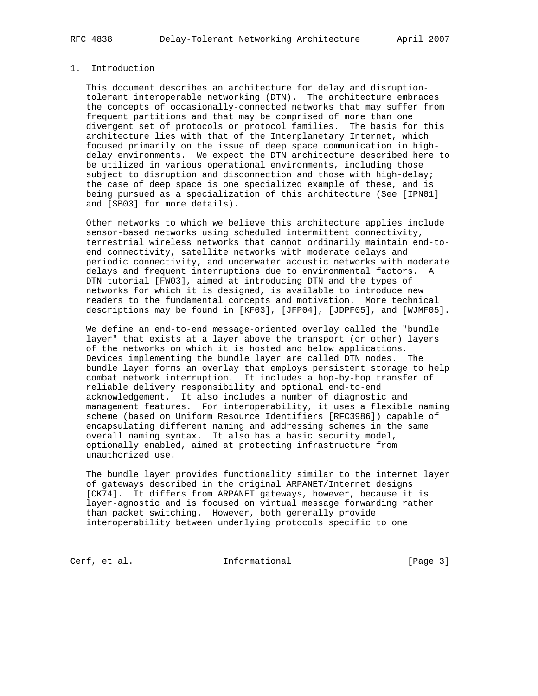## 1. Introduction

 This document describes an architecture for delay and disruption tolerant interoperable networking (DTN). The architecture embraces the concepts of occasionally-connected networks that may suffer from frequent partitions and that may be comprised of more than one divergent set of protocols or protocol families. The basis for this architecture lies with that of the Interplanetary Internet, which focused primarily on the issue of deep space communication in high delay environments. We expect the DTN architecture described here to be utilized in various operational environments, including those subject to disruption and disconnection and those with high-delay; the case of deep space is one specialized example of these, and is being pursued as a specialization of this architecture (See [IPN01] and [SB03] for more details).

 Other networks to which we believe this architecture applies include sensor-based networks using scheduled intermittent connectivity, terrestrial wireless networks that cannot ordinarily maintain end-to end connectivity, satellite networks with moderate delays and periodic connectivity, and underwater acoustic networks with moderate delays and frequent interruptions due to environmental factors. A DTN tutorial [FW03], aimed at introducing DTN and the types of networks for which it is designed, is available to introduce new readers to the fundamental concepts and motivation. More technical descriptions may be found in [KF03], [JFP04], [JDPF05], and [WJMF05].

 We define an end-to-end message-oriented overlay called the "bundle layer" that exists at a layer above the transport (or other) layers of the networks on which it is hosted and below applications. Devices implementing the bundle layer are called DTN nodes. The bundle layer forms an overlay that employs persistent storage to help combat network interruption. It includes a hop-by-hop transfer of reliable delivery responsibility and optional end-to-end acknowledgement. It also includes a number of diagnostic and management features. For interoperability, it uses a flexible naming scheme (based on Uniform Resource Identifiers [RFC3986]) capable of encapsulating different naming and addressing schemes in the same overall naming syntax. It also has a basic security model, optionally enabled, aimed at protecting infrastructure from unauthorized use.

 The bundle layer provides functionality similar to the internet layer of gateways described in the original ARPANET/Internet designs [CK74]. It differs from ARPANET gateways, however, because it is layer-agnostic and is focused on virtual message forwarding rather than packet switching. However, both generally provide interoperability between underlying protocols specific to one

Cerf, et al. 1nformational [Page 3]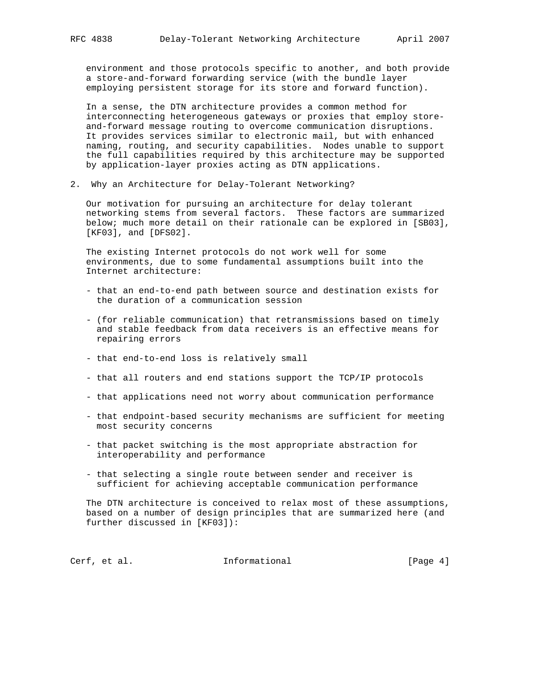environment and those protocols specific to another, and both provide a store-and-forward forwarding service (with the bundle layer employing persistent storage for its store and forward function).

 In a sense, the DTN architecture provides a common method for interconnecting heterogeneous gateways or proxies that employ store and-forward message routing to overcome communication disruptions. It provides services similar to electronic mail, but with enhanced naming, routing, and security capabilities. Nodes unable to support the full capabilities required by this architecture may be supported by application-layer proxies acting as DTN applications.

2. Why an Architecture for Delay-Tolerant Networking?

 Our motivation for pursuing an architecture for delay tolerant networking stems from several factors. These factors are summarized below; much more detail on their rationale can be explored in [SB03], [KF03], and [DFS02].

 The existing Internet protocols do not work well for some environments, due to some fundamental assumptions built into the Internet architecture:

- that an end-to-end path between source and destination exists for the duration of a communication session
- (for reliable communication) that retransmissions based on timely and stable feedback from data receivers is an effective means for repairing errors
- that end-to-end loss is relatively small
- that all routers and end stations support the TCP/IP protocols
- that applications need not worry about communication performance
- that endpoint-based security mechanisms are sufficient for meeting most security concerns
- that packet switching is the most appropriate abstraction for interoperability and performance
- that selecting a single route between sender and receiver is sufficient for achieving acceptable communication performance

 The DTN architecture is conceived to relax most of these assumptions, based on a number of design principles that are summarized here (and further discussed in [KF03]):

Cerf, et al. 1nformational [Page 4]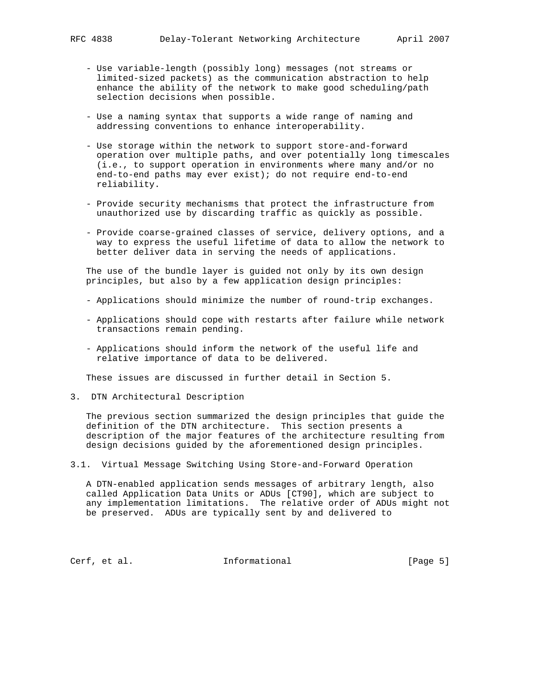- Use variable-length (possibly long) messages (not streams or limited-sized packets) as the communication abstraction to help enhance the ability of the network to make good scheduling/path selection decisions when possible.
- Use a naming syntax that supports a wide range of naming and addressing conventions to enhance interoperability.
- Use storage within the network to support store-and-forward operation over multiple paths, and over potentially long timescales (i.e., to support operation in environments where many and/or no end-to-end paths may ever exist); do not require end-to-end reliability.
- Provide security mechanisms that protect the infrastructure from unauthorized use by discarding traffic as quickly as possible.
- Provide coarse-grained classes of service, delivery options, and a way to express the useful lifetime of data to allow the network to better deliver data in serving the needs of applications.

 The use of the bundle layer is guided not only by its own design principles, but also by a few application design principles:

- Applications should minimize the number of round-trip exchanges.
- Applications should cope with restarts after failure while network transactions remain pending.
- Applications should inform the network of the useful life and relative importance of data to be delivered.

These issues are discussed in further detail in Section 5.

3. DTN Architectural Description

 The previous section summarized the design principles that guide the definition of the DTN architecture. This section presents a description of the major features of the architecture resulting from design decisions guided by the aforementioned design principles.

3.1. Virtual Message Switching Using Store-and-Forward Operation

 A DTN-enabled application sends messages of arbitrary length, also called Application Data Units or ADUs [CT90], which are subject to any implementation limitations. The relative order of ADUs might not be preserved. ADUs are typically sent by and delivered to

Cerf, et al.  $I_n$  Informational [Page 5]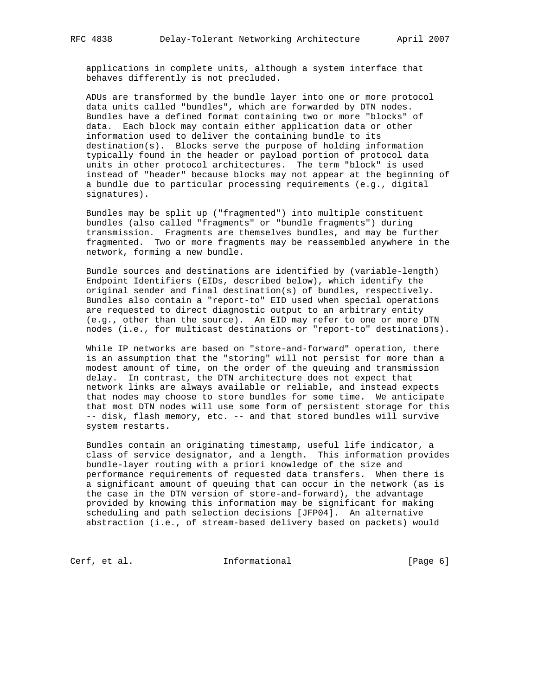applications in complete units, although a system interface that behaves differently is not precluded.

 ADUs are transformed by the bundle layer into one or more protocol data units called "bundles", which are forwarded by DTN nodes. Bundles have a defined format containing two or more "blocks" of data. Each block may contain either application data or other information used to deliver the containing bundle to its destination(s). Blocks serve the purpose of holding information typically found in the header or payload portion of protocol data units in other protocol architectures. The term "block" is used instead of "header" because blocks may not appear at the beginning of a bundle due to particular processing requirements (e.g., digital signatures).

 Bundles may be split up ("fragmented") into multiple constituent bundles (also called "fragments" or "bundle fragments") during transmission. Fragments are themselves bundles, and may be further fragmented. Two or more fragments may be reassembled anywhere in the network, forming a new bundle.

 Bundle sources and destinations are identified by (variable-length) Endpoint Identifiers (EIDs, described below), which identify the original sender and final destination(s) of bundles, respectively. Bundles also contain a "report-to" EID used when special operations are requested to direct diagnostic output to an arbitrary entity (e.g., other than the source). An EID may refer to one or more DTN nodes (i.e., for multicast destinations or "report-to" destinations).

 While IP networks are based on "store-and-forward" operation, there is an assumption that the "storing" will not persist for more than a modest amount of time, on the order of the queuing and transmission delay. In contrast, the DTN architecture does not expect that network links are always available or reliable, and instead expects that nodes may choose to store bundles for some time. We anticipate that most DTN nodes will use some form of persistent storage for this -- disk, flash memory, etc. -- and that stored bundles will survive system restarts.

 Bundles contain an originating timestamp, useful life indicator, a class of service designator, and a length. This information provides bundle-layer routing with a priori knowledge of the size and performance requirements of requested data transfers. When there is a significant amount of queuing that can occur in the network (as is the case in the DTN version of store-and-forward), the advantage provided by knowing this information may be significant for making scheduling and path selection decisions [JFP04]. An alternative abstraction (i.e., of stream-based delivery based on packets) would

Cerf, et al. 1nformational [Page 6]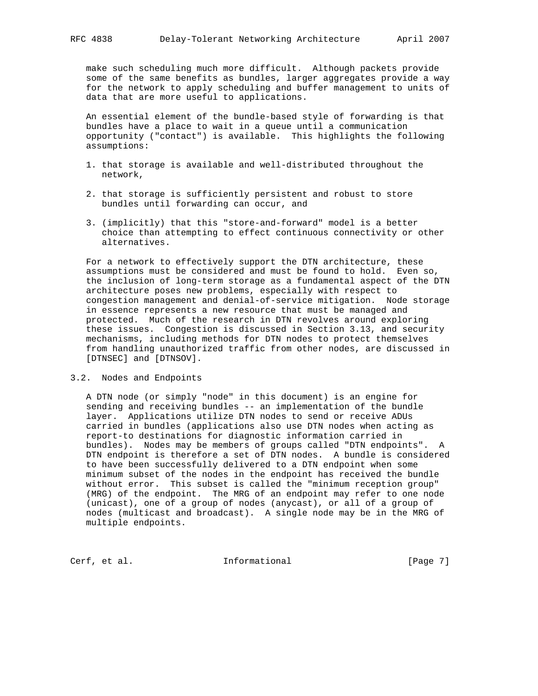make such scheduling much more difficult. Although packets provide some of the same benefits as bundles, larger aggregates provide a way for the network to apply scheduling and buffer management to units of data that are more useful to applications.

 An essential element of the bundle-based style of forwarding is that bundles have a place to wait in a queue until a communication opportunity ("contact") is available. This highlights the following assumptions:

- 1. that storage is available and well-distributed throughout the network,
- 2. that storage is sufficiently persistent and robust to store bundles until forwarding can occur, and
- 3. (implicitly) that this "store-and-forward" model is a better choice than attempting to effect continuous connectivity or other alternatives.

 For a network to effectively support the DTN architecture, these assumptions must be considered and must be found to hold. Even so, the inclusion of long-term storage as a fundamental aspect of the DTN architecture poses new problems, especially with respect to congestion management and denial-of-service mitigation. Node storage in essence represents a new resource that must be managed and protected. Much of the research in DTN revolves around exploring these issues. Congestion is discussed in Section 3.13, and security mechanisms, including methods for DTN nodes to protect themselves from handling unauthorized traffic from other nodes, are discussed in [DTNSEC] and [DTNSOV].

### 3.2. Nodes and Endpoints

 A DTN node (or simply "node" in this document) is an engine for sending and receiving bundles -- an implementation of the bundle layer. Applications utilize DTN nodes to send or receive ADUs carried in bundles (applications also use DTN nodes when acting as report-to destinations for diagnostic information carried in bundles). Nodes may be members of groups called "DTN endpoints". A DTN endpoint is therefore a set of DTN nodes. A bundle is considered to have been successfully delivered to a DTN endpoint when some minimum subset of the nodes in the endpoint has received the bundle without error. This subset is called the "minimum reception group" (MRG) of the endpoint. The MRG of an endpoint may refer to one node (unicast), one of a group of nodes (anycast), or all of a group of nodes (multicast and broadcast). A single node may be in the MRG of multiple endpoints.

Cerf, et al. 1nformational [Page 7]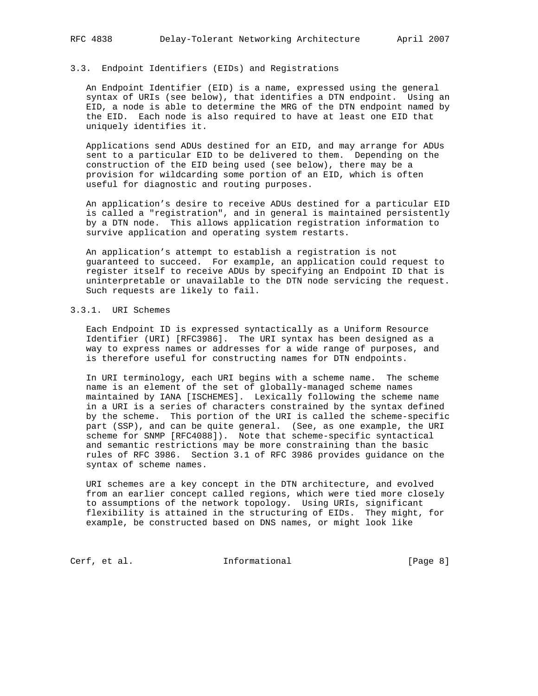# 3.3. Endpoint Identifiers (EIDs) and Registrations

 An Endpoint Identifier (EID) is a name, expressed using the general syntax of URIs (see below), that identifies a DTN endpoint. Using an EID, a node is able to determine the MRG of the DTN endpoint named by the EID. Each node is also required to have at least one EID that uniquely identifies it.

 Applications send ADUs destined for an EID, and may arrange for ADUs sent to a particular EID to be delivered to them. Depending on the construction of the EID being used (see below), there may be a provision for wildcarding some portion of an EID, which is often useful for diagnostic and routing purposes.

 An application's desire to receive ADUs destined for a particular EID is called a "registration", and in general is maintained persistently by a DTN node. This allows application registration information to survive application and operating system restarts.

 An application's attempt to establish a registration is not guaranteed to succeed. For example, an application could request to register itself to receive ADUs by specifying an Endpoint ID that is uninterpretable or unavailable to the DTN node servicing the request. Such requests are likely to fail.

## 3.3.1. URI Schemes

 Each Endpoint ID is expressed syntactically as a Uniform Resource Identifier (URI) [RFC3986]. The URI syntax has been designed as a way to express names or addresses for a wide range of purposes, and is therefore useful for constructing names for DTN endpoints.

 In URI terminology, each URI begins with a scheme name. The scheme name is an element of the set of globally-managed scheme names maintained by IANA [ISCHEMES]. Lexically following the scheme name in a URI is a series of characters constrained by the syntax defined by the scheme. This portion of the URI is called the scheme-specific part (SSP), and can be quite general. (See, as one example, the URI scheme for SNMP [RFC4088]). Note that scheme-specific syntactical and semantic restrictions may be more constraining than the basic rules of RFC 3986. Section 3.1 of RFC 3986 provides guidance on the syntax of scheme names.

 URI schemes are a key concept in the DTN architecture, and evolved from an earlier concept called regions, which were tied more closely to assumptions of the network topology. Using URIs, significant flexibility is attained in the structuring of EIDs. They might, for example, be constructed based on DNS names, or might look like

Cerf, et al. 1nformational 1999 [Page 8]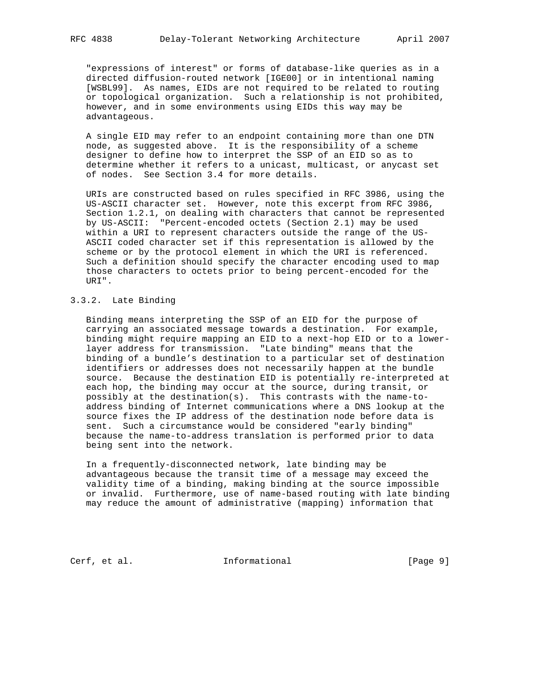"expressions of interest" or forms of database-like queries as in a directed diffusion-routed network [IGE00] or in intentional naming [WSBL99]. As names, EIDs are not required to be related to routing or topological organization. Such a relationship is not prohibited, however, and in some environments using EIDs this way may be advantageous.

 A single EID may refer to an endpoint containing more than one DTN node, as suggested above. It is the responsibility of a scheme designer to define how to interpret the SSP of an EID so as to determine whether it refers to a unicast, multicast, or anycast set of nodes. See Section 3.4 for more details.

 URIs are constructed based on rules specified in RFC 3986, using the US-ASCII character set. However, note this excerpt from RFC 3986, Section 1.2.1, on dealing with characters that cannot be represented by US-ASCII: "Percent-encoded octets (Section 2.1) may be used within a URI to represent characters outside the range of the US- ASCII coded character set if this representation is allowed by the scheme or by the protocol element in which the URI is referenced. Such a definition should specify the character encoding used to map those characters to octets prior to being percent-encoded for the URI".

# 3.3.2. Late Binding

 Binding means interpreting the SSP of an EID for the purpose of carrying an associated message towards a destination. For example, binding might require mapping an EID to a next-hop EID or to a lower layer address for transmission. "Late binding" means that the binding of a bundle's destination to a particular set of destination identifiers or addresses does not necessarily happen at the bundle source. Because the destination EID is potentially re-interpreted at each hop, the binding may occur at the source, during transit, or possibly at the destination(s). This contrasts with the name-to address binding of Internet communications where a DNS lookup at the source fixes the IP address of the destination node before data is sent. Such a circumstance would be considered "early binding" because the name-to-address translation is performed prior to data being sent into the network.

 In a frequently-disconnected network, late binding may be advantageous because the transit time of a message may exceed the validity time of a binding, making binding at the source impossible or invalid. Furthermore, use of name-based routing with late binding may reduce the amount of administrative (mapping) information that

Cerf, et al. 1nformational 1999 [Page 9]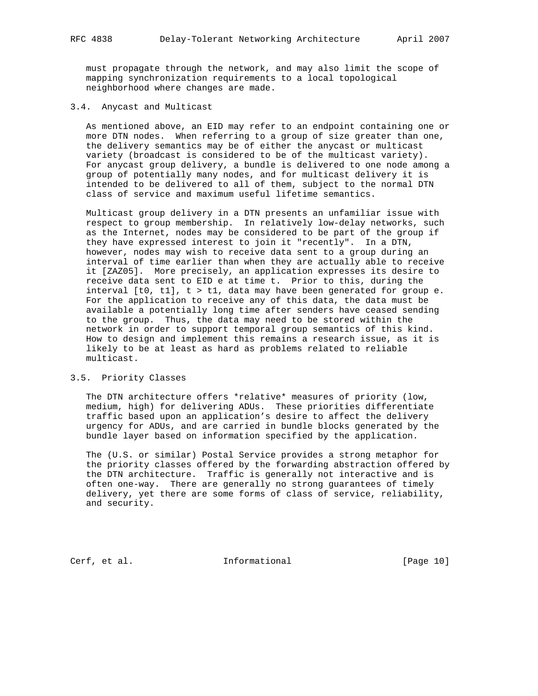must propagate through the network, and may also limit the scope of mapping synchronization requirements to a local topological neighborhood where changes are made.

#### 3.4. Anycast and Multicast

 As mentioned above, an EID may refer to an endpoint containing one or more DTN nodes. When referring to a group of size greater than one, the delivery semantics may be of either the anycast or multicast variety (broadcast is considered to be of the multicast variety). For anycast group delivery, a bundle is delivered to one node among a group of potentially many nodes, and for multicast delivery it is intended to be delivered to all of them, subject to the normal DTN class of service and maximum useful lifetime semantics.

 Multicast group delivery in a DTN presents an unfamiliar issue with respect to group membership. In relatively low-delay networks, such as the Internet, nodes may be considered to be part of the group if they have expressed interest to join it "recently". In a DTN, however, nodes may wish to receive data sent to a group during an interval of time earlier than when they are actually able to receive it [ZAZ05]. More precisely, an application expresses its desire to receive data sent to EID e at time t. Prior to this, during the interval  $[t0, t1], t > t1$ , data may have been generated for group e. For the application to receive any of this data, the data must be available a potentially long time after senders have ceased sending to the group. Thus, the data may need to be stored within the network in order to support temporal group semantics of this kind. How to design and implement this remains a research issue, as it is likely to be at least as hard as problems related to reliable multicast.

### 3.5. Priority Classes

 The DTN architecture offers \*relative\* measures of priority (low, medium, high) for delivering ADUs. These priorities differentiate traffic based upon an application's desire to affect the delivery urgency for ADUs, and are carried in bundle blocks generated by the bundle layer based on information specified by the application.

 The (U.S. or similar) Postal Service provides a strong metaphor for the priority classes offered by the forwarding abstraction offered by the DTN architecture. Traffic is generally not interactive and is often one-way. There are generally no strong guarantees of timely delivery, yet there are some forms of class of service, reliability, and security.

Cerf, et al. 1nformational [Page 10]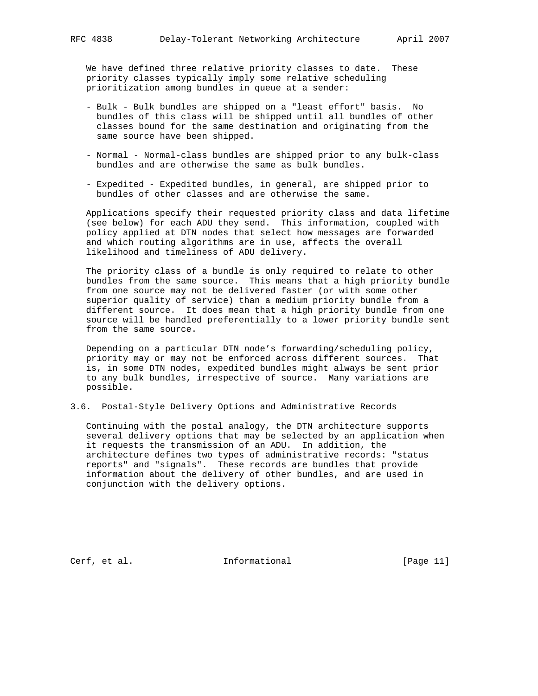We have defined three relative priority classes to date. These priority classes typically imply some relative scheduling prioritization among bundles in queue at a sender:

- Bulk Bulk bundles are shipped on a "least effort" basis. No bundles of this class will be shipped until all bundles of other classes bound for the same destination and originating from the same source have been shipped.
- Normal Normal-class bundles are shipped prior to any bulk-class bundles and are otherwise the same as bulk bundles.
- Expedited Expedited bundles, in general, are shipped prior to bundles of other classes and are otherwise the same.

 Applications specify their requested priority class and data lifetime (see below) for each ADU they send. This information, coupled with policy applied at DTN nodes that select how messages are forwarded and which routing algorithms are in use, affects the overall likelihood and timeliness of ADU delivery.

 The priority class of a bundle is only required to relate to other bundles from the same source. This means that a high priority bundle from one source may not be delivered faster (or with some other superior quality of service) than a medium priority bundle from a different source. It does mean that a high priority bundle from one source will be handled preferentially to a lower priority bundle sent from the same source.

 Depending on a particular DTN node's forwarding/scheduling policy, priority may or may not be enforced across different sources. That is, in some DTN nodes, expedited bundles might always be sent prior to any bulk bundles, irrespective of source. Many variations are possible.

3.6. Postal-Style Delivery Options and Administrative Records

 Continuing with the postal analogy, the DTN architecture supports several delivery options that may be selected by an application when it requests the transmission of an ADU. In addition, the architecture defines two types of administrative records: "status reports" and "signals". These records are bundles that provide information about the delivery of other bundles, and are used in conjunction with the delivery options.

Cerf, et al. 10. Informational [Page 11]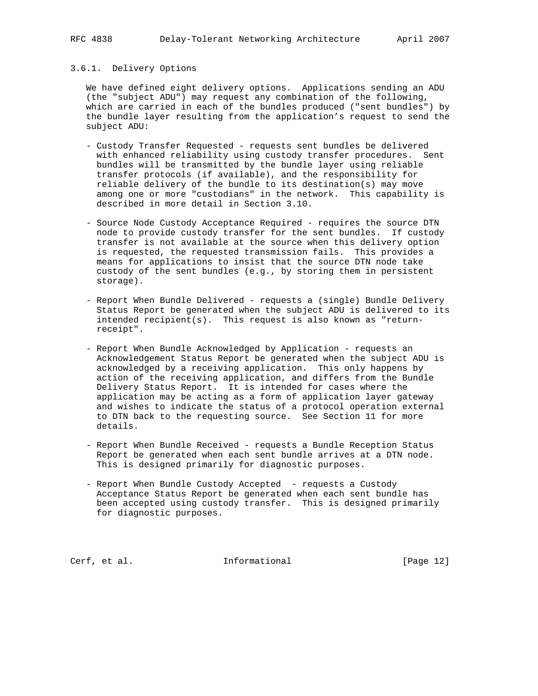## 3.6.1. Delivery Options

 We have defined eight delivery options. Applications sending an ADU (the "subject ADU") may request any combination of the following, which are carried in each of the bundles produced ("sent bundles") by the bundle layer resulting from the application's request to send the subject ADU:

- Custody Transfer Requested requests sent bundles be delivered with enhanced reliability using custody transfer procedures. Sent bundles will be transmitted by the bundle layer using reliable transfer protocols (if available), and the responsibility for reliable delivery of the bundle to its destination(s) may move among one or more "custodians" in the network. This capability is described in more detail in Section 3.10.
- Source Node Custody Acceptance Required requires the source DTN node to provide custody transfer for the sent bundles. If custody transfer is not available at the source when this delivery option is requested, the requested transmission fails. This provides a means for applications to insist that the source DTN node take custody of the sent bundles (e.g., by storing them in persistent storage).
- Report When Bundle Delivered requests a (single) Bundle Delivery Status Report be generated when the subject ADU is delivered to its intended recipient(s). This request is also known as "return receipt".
- Report When Bundle Acknowledged by Application requests an Acknowledgement Status Report be generated when the subject ADU is acknowledged by a receiving application. This only happens by action of the receiving application, and differs from the Bundle Delivery Status Report. It is intended for cases where the application may be acting as a form of application layer gateway and wishes to indicate the status of a protocol operation external to DTN back to the requesting source. See Section 11 for more details.
- Report When Bundle Received requests a Bundle Reception Status Report be generated when each sent bundle arrives at a DTN node. This is designed primarily for diagnostic purposes.
- Report When Bundle Custody Accepted requests a Custody Acceptance Status Report be generated when each sent bundle has been accepted using custody transfer. This is designed primarily for diagnostic purposes.

Cerf, et al. 1nformational [Page 12]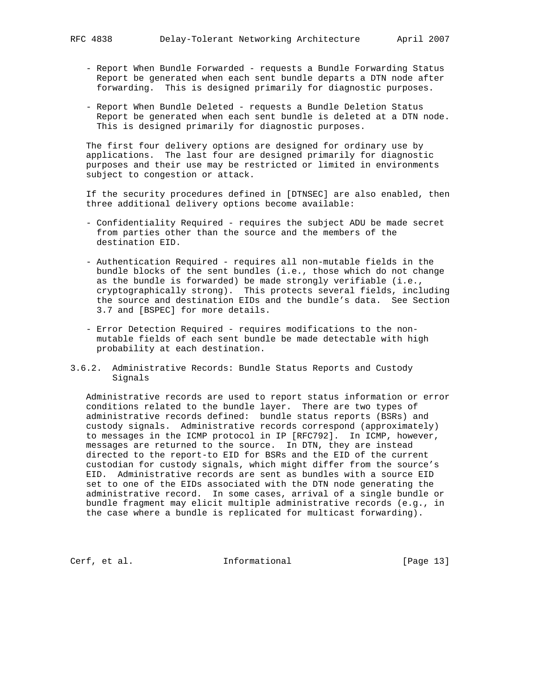- Report When Bundle Forwarded requests a Bundle Forwarding Status Report be generated when each sent bundle departs a DTN node after forwarding. This is designed primarily for diagnostic purposes.
- Report When Bundle Deleted requests a Bundle Deletion Status Report be generated when each sent bundle is deleted at a DTN node. This is designed primarily for diagnostic purposes.

 The first four delivery options are designed for ordinary use by applications. The last four are designed primarily for diagnostic purposes and their use may be restricted or limited in environments subject to congestion or attack.

 If the security procedures defined in [DTNSEC] are also enabled, then three additional delivery options become available:

- Confidentiality Required requires the subject ADU be made secret from parties other than the source and the members of the destination EID.
- Authentication Required requires all non-mutable fields in the bundle blocks of the sent bundles (i.e., those which do not change as the bundle is forwarded) be made strongly verifiable (i.e., cryptographically strong). This protects several fields, including the source and destination EIDs and the bundle's data. See Section 3.7 and [BSPEC] for more details.
- Error Detection Required requires modifications to the non mutable fields of each sent bundle be made detectable with high probability at each destination.
- 3.6.2. Administrative Records: Bundle Status Reports and Custody Signals

 Administrative records are used to report status information or error conditions related to the bundle layer. There are two types of administrative records defined: bundle status reports (BSRs) and custody signals. Administrative records correspond (approximately) to messages in the ICMP protocol in IP [RFC792]. In ICMP, however, messages are returned to the source. In DTN, they are instead directed to the report-to EID for BSRs and the EID of the current custodian for custody signals, which might differ from the source's EID. Administrative records are sent as bundles with a source EID set to one of the EIDs associated with the DTN node generating the administrative record. In some cases, arrival of a single bundle or bundle fragment may elicit multiple administrative records (e.g., in the case where a bundle is replicated for multicast forwarding).

Cerf, et al. 1nformational [Page 13]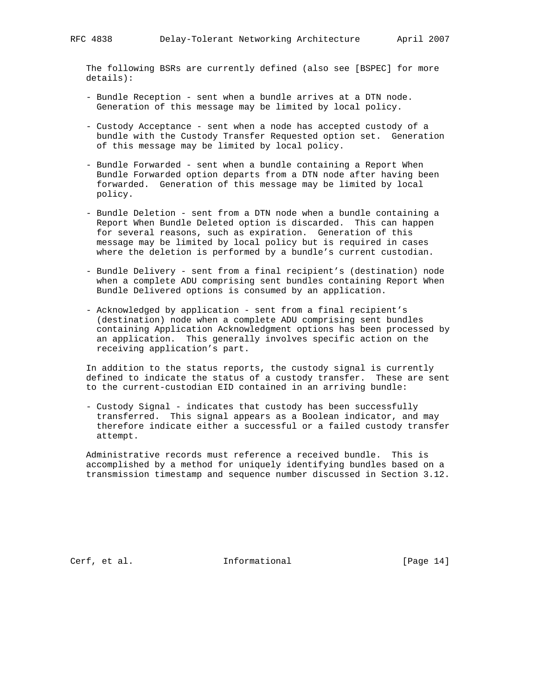The following BSRs are currently defined (also see [BSPEC] for more details):

- Bundle Reception sent when a bundle arrives at a DTN node. Generation of this message may be limited by local policy.
- Custody Acceptance sent when a node has accepted custody of a bundle with the Custody Transfer Requested option set. Generation of this message may be limited by local policy.
- Bundle Forwarded sent when a bundle containing a Report When Bundle Forwarded option departs from a DTN node after having been forwarded. Generation of this message may be limited by local policy.
- Bundle Deletion sent from a DTN node when a bundle containing a Report When Bundle Deleted option is discarded. This can happen for several reasons, such as expiration. Generation of this message may be limited by local policy but is required in cases where the deletion is performed by a bundle's current custodian.
- Bundle Delivery sent from a final recipient's (destination) node when a complete ADU comprising sent bundles containing Report When Bundle Delivered options is consumed by an application.
- Acknowledged by application sent from a final recipient's (destination) node when a complete ADU comprising sent bundles containing Application Acknowledgment options has been processed by an application. This generally involves specific action on the receiving application's part.

 In addition to the status reports, the custody signal is currently defined to indicate the status of a custody transfer. These are sent to the current-custodian EID contained in an arriving bundle:

 - Custody Signal - indicates that custody has been successfully transferred. This signal appears as a Boolean indicator, and may therefore indicate either a successful or a failed custody transfer attempt.

 Administrative records must reference a received bundle. This is accomplished by a method for uniquely identifying bundles based on a transmission timestamp and sequence number discussed in Section 3.12.

Cerf, et al. 1nformational [Page 14]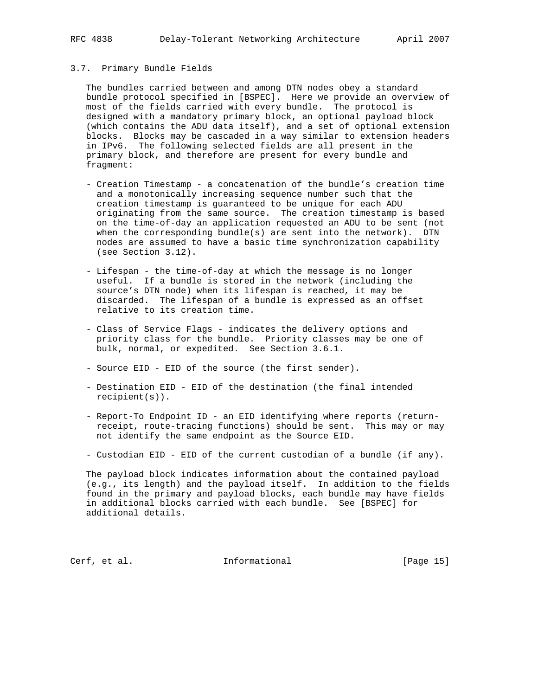# 3.7. Primary Bundle Fields

 The bundles carried between and among DTN nodes obey a standard bundle protocol specified in [BSPEC]. Here we provide an overview of most of the fields carried with every bundle. The protocol is designed with a mandatory primary block, an optional payload block (which contains the ADU data itself), and a set of optional extension blocks. Blocks may be cascaded in a way similar to extension headers in IPv6. The following selected fields are all present in the primary block, and therefore are present for every bundle and fragment:

- Creation Timestamp a concatenation of the bundle's creation time and a monotonically increasing sequence number such that the creation timestamp is guaranteed to be unique for each ADU originating from the same source. The creation timestamp is based on the time-of-day an application requested an ADU to be sent (not when the corresponding bundle(s) are sent into the network). DTN nodes are assumed to have a basic time synchronization capability (see Section 3.12).
- Lifespan the time-of-day at which the message is no longer useful. If a bundle is stored in the network (including the source's DTN node) when its lifespan is reached, it may be discarded. The lifespan of a bundle is expressed as an offset relative to its creation time.
- Class of Service Flags indicates the delivery options and priority class for the bundle. Priority classes may be one of bulk, normal, or expedited. See Section 3.6.1.
- Source EID EID of the source (the first sender).
- Destination EID EID of the destination (the final intended recipient(s)).
- Report-To Endpoint ID an EID identifying where reports (return receipt, route-tracing functions) should be sent. This may or may not identify the same endpoint as the Source EID.
- Custodian EID EID of the current custodian of a bundle (if any).

 The payload block indicates information about the contained payload (e.g., its length) and the payload itself. In addition to the fields found in the primary and payload blocks, each bundle may have fields in additional blocks carried with each bundle. See [BSPEC] for additional details.

Cerf, et al. 1nformational [Page 15]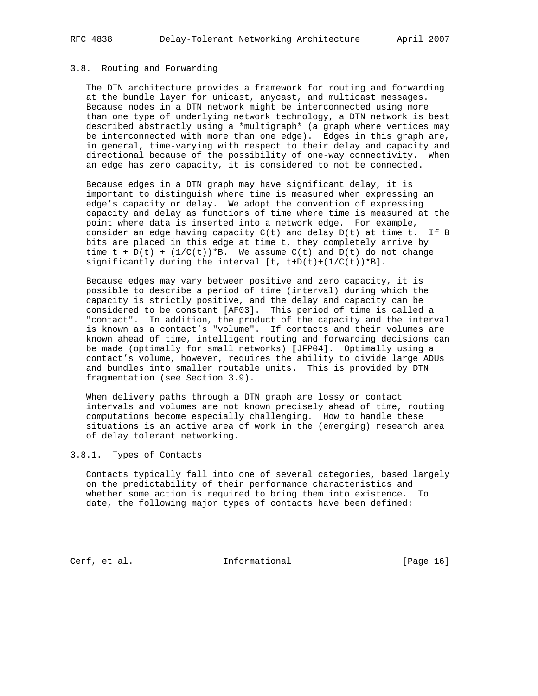#### 3.8. Routing and Forwarding

 The DTN architecture provides a framework for routing and forwarding at the bundle layer for unicast, anycast, and multicast messages. Because nodes in a DTN network might be interconnected using more than one type of underlying network technology, a DTN network is best described abstractly using a \*multigraph\* (a graph where vertices may be interconnected with more than one edge). Edges in this graph are, in general, time-varying with respect to their delay and capacity and directional because of the possibility of one-way connectivity. When an edge has zero capacity, it is considered to not be connected.

 Because edges in a DTN graph may have significant delay, it is important to distinguish where time is measured when expressing an edge's capacity or delay. We adopt the convention of expressing capacity and delay as functions of time where time is measured at the point where data is inserted into a network edge. For example, consider an edge having capacity  $C(t)$  and delay  $D(t)$  at time t. If B bits are placed in this edge at time t, they completely arrive by time  $t + D(t) + (1/C(t))^*B$ . We assume  $C(t)$  and  $D(t)$  do not change significantly during the interval  $[t, t+D(t)+(1/C(t))^*B]$ .

 Because edges may vary between positive and zero capacity, it is possible to describe a period of time (interval) during which the capacity is strictly positive, and the delay and capacity can be considered to be constant [AF03]. This period of time is called a "contact". In addition, the product of the capacity and the interval is known as a contact's "volume". If contacts and their volumes are known ahead of time, intelligent routing and forwarding decisions can be made (optimally for small networks) [JFP04]. Optimally using a contact's volume, however, requires the ability to divide large ADUs and bundles into smaller routable units. This is provided by DTN fragmentation (see Section 3.9).

 When delivery paths through a DTN graph are lossy or contact intervals and volumes are not known precisely ahead of time, routing computations become especially challenging. How to handle these situations is an active area of work in the (emerging) research area of delay tolerant networking.

### 3.8.1. Types of Contacts

 Contacts typically fall into one of several categories, based largely on the predictability of their performance characteristics and whether some action is required to bring them into existence. To date, the following major types of contacts have been defined:

Cerf, et al. 1nformational [Page 16]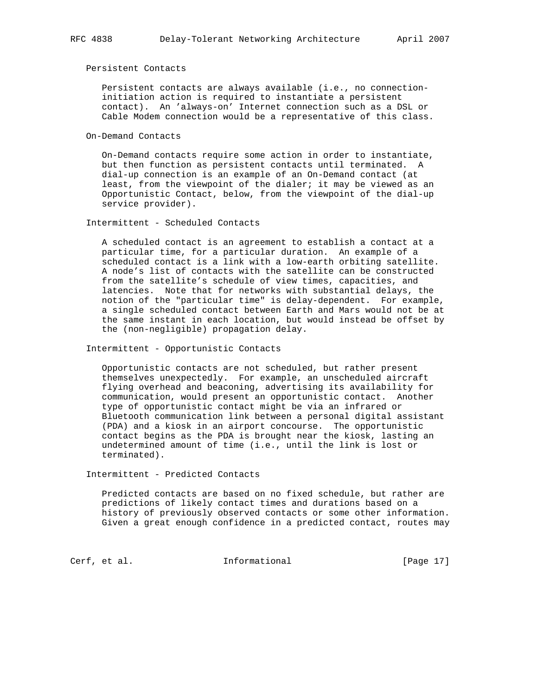#### Persistent Contacts

 Persistent contacts are always available (i.e., no connection initiation action is required to instantiate a persistent contact). An 'always-on' Internet connection such as a DSL or Cable Modem connection would be a representative of this class.

On-Demand Contacts

 On-Demand contacts require some action in order to instantiate, but then function as persistent contacts until terminated. A dial-up connection is an example of an On-Demand contact (at least, from the viewpoint of the dialer; it may be viewed as an Opportunistic Contact, below, from the viewpoint of the dial-up service provider).

Intermittent - Scheduled Contacts

 A scheduled contact is an agreement to establish a contact at a particular time, for a particular duration. An example of a scheduled contact is a link with a low-earth orbiting satellite. A node's list of contacts with the satellite can be constructed from the satellite's schedule of view times, capacities, and latencies. Note that for networks with substantial delays, the notion of the "particular time" is delay-dependent. For example, a single scheduled contact between Earth and Mars would not be at the same instant in each location, but would instead be offset by the (non-negligible) propagation delay.

Intermittent - Opportunistic Contacts

 Opportunistic contacts are not scheduled, but rather present themselves unexpectedly. For example, an unscheduled aircraft flying overhead and beaconing, advertising its availability for communication, would present an opportunistic contact. Another type of opportunistic contact might be via an infrared or Bluetooth communication link between a personal digital assistant (PDA) and a kiosk in an airport concourse. The opportunistic contact begins as the PDA is brought near the kiosk, lasting an undetermined amount of time (i.e., until the link is lost or terminated).

Intermittent - Predicted Contacts

 Predicted contacts are based on no fixed schedule, but rather are predictions of likely contact times and durations based on a history of previously observed contacts or some other information. Given a great enough confidence in a predicted contact, routes may

Cerf, et al. **Informational** [Page 17]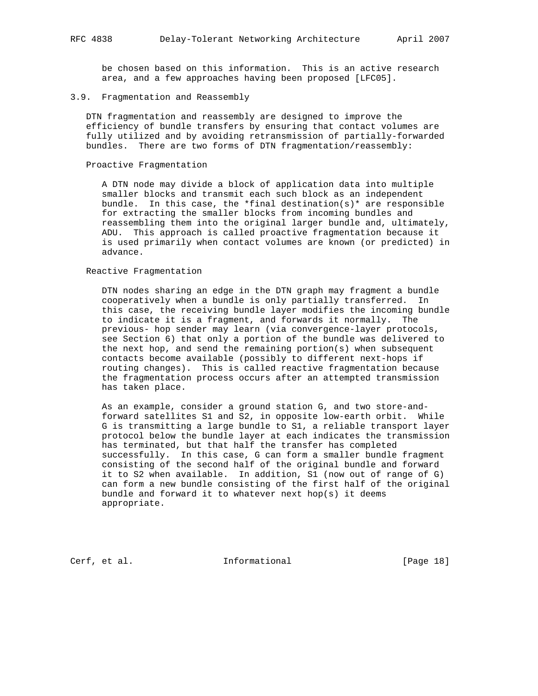be chosen based on this information. This is an active research area, and a few approaches having been proposed [LFC05].

### 3.9. Fragmentation and Reassembly

 DTN fragmentation and reassembly are designed to improve the efficiency of bundle transfers by ensuring that contact volumes are fully utilized and by avoiding retransmission of partially-forwarded bundles. There are two forms of DTN fragmentation/reassembly:

#### Proactive Fragmentation

 A DTN node may divide a block of application data into multiple smaller blocks and transmit each such block as an independent bundle. In this case, the \*final destination(s)\* are responsible for extracting the smaller blocks from incoming bundles and reassembling them into the original larger bundle and, ultimately, ADU. This approach is called proactive fragmentation because it is used primarily when contact volumes are known (or predicted) in advance.

## Reactive Fragmentation

 DTN nodes sharing an edge in the DTN graph may fragment a bundle cooperatively when a bundle is only partially transferred. In this case, the receiving bundle layer modifies the incoming bundle to indicate it is a fragment, and forwards it normally. The previous- hop sender may learn (via convergence-layer protocols, see Section 6) that only a portion of the bundle was delivered to the next hop, and send the remaining portion(s) when subsequent contacts become available (possibly to different next-hops if routing changes). This is called reactive fragmentation because the fragmentation process occurs after an attempted transmission has taken place.

 As an example, consider a ground station G, and two store-and forward satellites S1 and S2, in opposite low-earth orbit. While G is transmitting a large bundle to S1, a reliable transport layer protocol below the bundle layer at each indicates the transmission has terminated, but that half the transfer has completed successfully. In this case, G can form a smaller bundle fragment consisting of the second half of the original bundle and forward it to S2 when available. In addition, S1 (now out of range of G) can form a new bundle consisting of the first half of the original bundle and forward it to whatever next  $hop(s)$  it deems appropriate.

Cerf, et al. 1nformational [Page 18]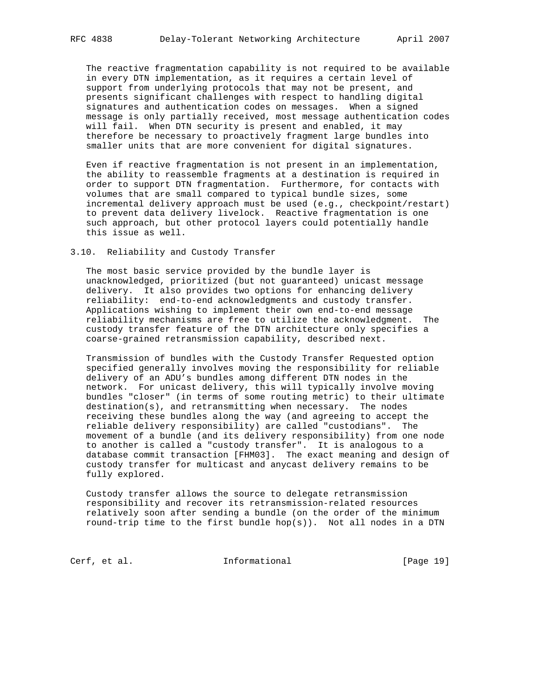The reactive fragmentation capability is not required to be available in every DTN implementation, as it requires a certain level of support from underlying protocols that may not be present, and presents significant challenges with respect to handling digital signatures and authentication codes on messages. When a signed message is only partially received, most message authentication codes will fail. When DTN security is present and enabled, it may therefore be necessary to proactively fragment large bundles into smaller units that are more convenient for digital signatures.

 Even if reactive fragmentation is not present in an implementation, the ability to reassemble fragments at a destination is required in order to support DTN fragmentation. Furthermore, for contacts with volumes that are small compared to typical bundle sizes, some incremental delivery approach must be used (e.g., checkpoint/restart) to prevent data delivery livelock. Reactive fragmentation is one such approach, but other protocol layers could potentially handle this issue as well.

#### 3.10. Reliability and Custody Transfer

 The most basic service provided by the bundle layer is unacknowledged, prioritized (but not guaranteed) unicast message delivery. It also provides two options for enhancing delivery reliability: end-to-end acknowledgments and custody transfer. Applications wishing to implement their own end-to-end message reliability mechanisms are free to utilize the acknowledgment. The custody transfer feature of the DTN architecture only specifies a coarse-grained retransmission capability, described next.

 Transmission of bundles with the Custody Transfer Requested option specified generally involves moving the responsibility for reliable delivery of an ADU's bundles among different DTN nodes in the network. For unicast delivery, this will typically involve moving bundles "closer" (in terms of some routing metric) to their ultimate destination(s), and retransmitting when necessary. The nodes receiving these bundles along the way (and agreeing to accept the reliable delivery responsibility) are called "custodians". The movement of a bundle (and its delivery responsibility) from one node to another is called a "custody transfer". It is analogous to a database commit transaction [FHM03]. The exact meaning and design of custody transfer for multicast and anycast delivery remains to be fully explored.

 Custody transfer allows the source to delegate retransmission responsibility and recover its retransmission-related resources relatively soon after sending a bundle (on the order of the minimum round-trip time to the first bundle  $hop(s)$ ). Not all nodes in a DTN

Cerf, et al. 1nformational [Page 19]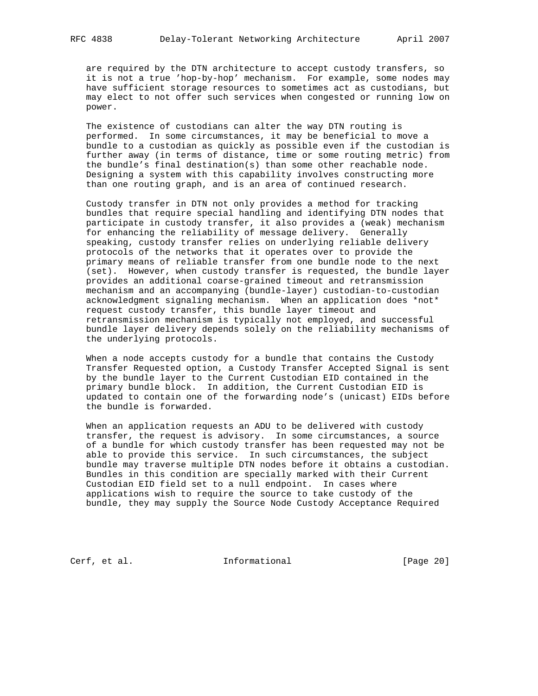are required by the DTN architecture to accept custody transfers, so it is not a true 'hop-by-hop' mechanism. For example, some nodes may have sufficient storage resources to sometimes act as custodians, but may elect to not offer such services when congested or running low on power.

 The existence of custodians can alter the way DTN routing is performed. In some circumstances, it may be beneficial to move a bundle to a custodian as quickly as possible even if the custodian is further away (in terms of distance, time or some routing metric) from the bundle's final destination(s) than some other reachable node. Designing a system with this capability involves constructing more than one routing graph, and is an area of continued research.

 Custody transfer in DTN not only provides a method for tracking bundles that require special handling and identifying DTN nodes that participate in custody transfer, it also provides a (weak) mechanism for enhancing the reliability of message delivery. Generally speaking, custody transfer relies on underlying reliable delivery protocols of the networks that it operates over to provide the primary means of reliable transfer from one bundle node to the next (set). However, when custody transfer is requested, the bundle layer provides an additional coarse-grained timeout and retransmission mechanism and an accompanying (bundle-layer) custodian-to-custodian acknowledgment signaling mechanism. When an application does \*not\* request custody transfer, this bundle layer timeout and retransmission mechanism is typically not employed, and successful bundle layer delivery depends solely on the reliability mechanisms of the underlying protocols.

 When a node accepts custody for a bundle that contains the Custody Transfer Requested option, a Custody Transfer Accepted Signal is sent by the bundle layer to the Current Custodian EID contained in the primary bundle block. In addition, the Current Custodian EID is updated to contain one of the forwarding node's (unicast) EIDs before the bundle is forwarded.

 When an application requests an ADU to be delivered with custody transfer, the request is advisory. In some circumstances, a source of a bundle for which custody transfer has been requested may not be able to provide this service. In such circumstances, the subject bundle may traverse multiple DTN nodes before it obtains a custodian. Bundles in this condition are specially marked with their Current Custodian EID field set to a null endpoint. In cases where applications wish to require the source to take custody of the bundle, they may supply the Source Node Custody Acceptance Required

Cerf, et al. 1nformational [Page 20]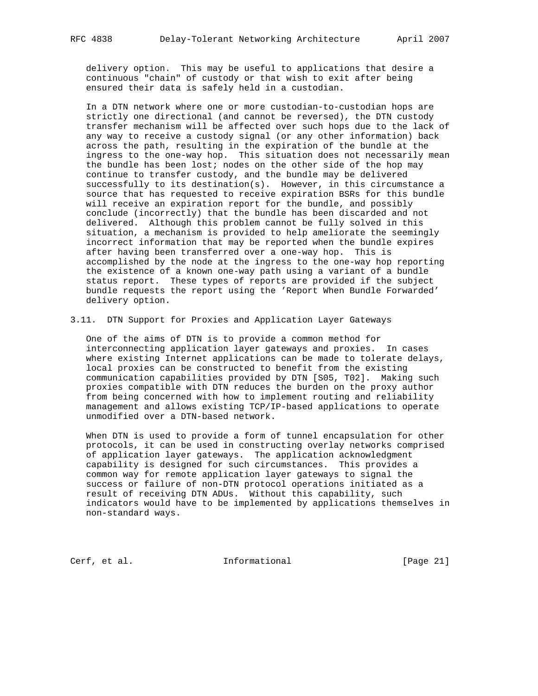delivery option. This may be useful to applications that desire a continuous "chain" of custody or that wish to exit after being ensured their data is safely held in a custodian.

 In a DTN network where one or more custodian-to-custodian hops are strictly one directional (and cannot be reversed), the DTN custody transfer mechanism will be affected over such hops due to the lack of any way to receive a custody signal (or any other information) back across the path, resulting in the expiration of the bundle at the ingress to the one-way hop. This situation does not necessarily mean the bundle has been lost; nodes on the other side of the hop may continue to transfer custody, and the bundle may be delivered successfully to its destination(s). However, in this circumstance a source that has requested to receive expiration BSRs for this bundle will receive an expiration report for the bundle, and possibly conclude (incorrectly) that the bundle has been discarded and not delivered. Although this problem cannot be fully solved in this situation, a mechanism is provided to help ameliorate the seemingly incorrect information that may be reported when the bundle expires after having been transferred over a one-way hop. This is accomplished by the node at the ingress to the one-way hop reporting the existence of a known one-way path using a variant of a bundle status report. These types of reports are provided if the subject bundle requests the report using the 'Report When Bundle Forwarded' delivery option.

3.11. DTN Support for Proxies and Application Layer Gateways

 One of the aims of DTN is to provide a common method for interconnecting application layer gateways and proxies. In cases where existing Internet applications can be made to tolerate delays, local proxies can be constructed to benefit from the existing communication capabilities provided by DTN [S05, T02]. Making such proxies compatible with DTN reduces the burden on the proxy author from being concerned with how to implement routing and reliability management and allows existing TCP/IP-based applications to operate unmodified over a DTN-based network.

 When DTN is used to provide a form of tunnel encapsulation for other protocols, it can be used in constructing overlay networks comprised of application layer gateways. The application acknowledgment capability is designed for such circumstances. This provides a common way for remote application layer gateways to signal the success or failure of non-DTN protocol operations initiated as a result of receiving DTN ADUs. Without this capability, such indicators would have to be implemented by applications themselves in non-standard ways.

Cerf, et al. 1nformational [Page 21]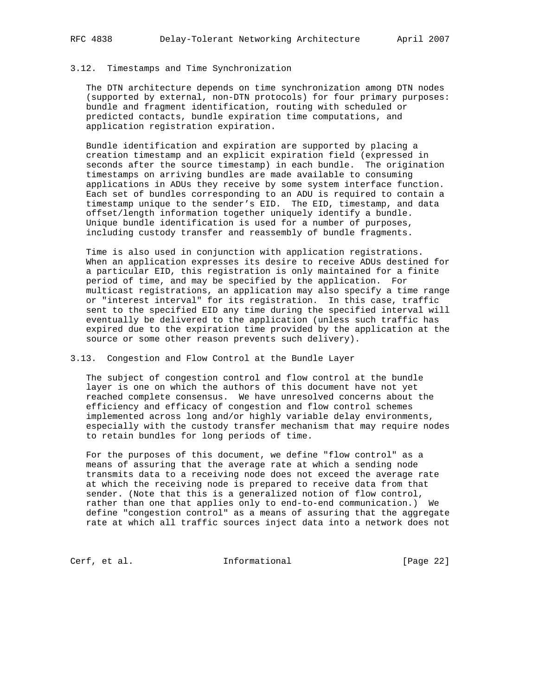#### 3.12. Timestamps and Time Synchronization

 The DTN architecture depends on time synchronization among DTN nodes (supported by external, non-DTN protocols) for four primary purposes: bundle and fragment identification, routing with scheduled or predicted contacts, bundle expiration time computations, and application registration expiration.

 Bundle identification and expiration are supported by placing a creation timestamp and an explicit expiration field (expressed in seconds after the source timestamp) in each bundle. The origination timestamps on arriving bundles are made available to consuming applications in ADUs they receive by some system interface function. Each set of bundles corresponding to an ADU is required to contain a timestamp unique to the sender's EID. The EID, timestamp, and data offset/length information together uniquely identify a bundle. Unique bundle identification is used for a number of purposes, including custody transfer and reassembly of bundle fragments.

 Time is also used in conjunction with application registrations. When an application expresses its desire to receive ADUs destined for a particular EID, this registration is only maintained for a finite period of time, and may be specified by the application. For multicast registrations, an application may also specify a time range or "interest interval" for its registration. In this case, traffic sent to the specified EID any time during the specified interval will eventually be delivered to the application (unless such traffic has expired due to the expiration time provided by the application at the source or some other reason prevents such delivery).

### 3.13. Congestion and Flow Control at the Bundle Layer

 The subject of congestion control and flow control at the bundle layer is one on which the authors of this document have not yet reached complete consensus. We have unresolved concerns about the efficiency and efficacy of congestion and flow control schemes implemented across long and/or highly variable delay environments, especially with the custody transfer mechanism that may require nodes to retain bundles for long periods of time.

 For the purposes of this document, we define "flow control" as a means of assuring that the average rate at which a sending node transmits data to a receiving node does not exceed the average rate at which the receiving node is prepared to receive data from that sender. (Note that this is a generalized notion of flow control, rather than one that applies only to end-to-end communication.) We define "congestion control" as a means of assuring that the aggregate rate at which all traffic sources inject data into a network does not

Cerf, et al. 1nformational [Page 22]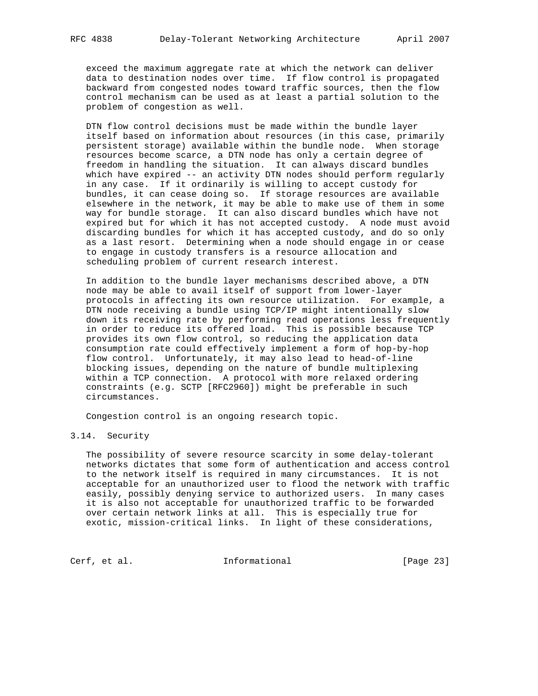exceed the maximum aggregate rate at which the network can deliver data to destination nodes over time. If flow control is propagated backward from congested nodes toward traffic sources, then the flow control mechanism can be used as at least a partial solution to the problem of congestion as well.

 DTN flow control decisions must be made within the bundle layer itself based on information about resources (in this case, primarily persistent storage) available within the bundle node. When storage resources become scarce, a DTN node has only a certain degree of freedom in handling the situation. It can always discard bundles which have expired -- an activity DTN nodes should perform regularly in any case. If it ordinarily is willing to accept custody for bundles, it can cease doing so. If storage resources are available elsewhere in the network, it may be able to make use of them in some way for bundle storage. It can also discard bundles which have not expired but for which it has not accepted custody. A node must avoid discarding bundles for which it has accepted custody, and do so only as a last resort. Determining when a node should engage in or cease to engage in custody transfers is a resource allocation and scheduling problem of current research interest.

 In addition to the bundle layer mechanisms described above, a DTN node may be able to avail itself of support from lower-layer protocols in affecting its own resource utilization. For example, a DTN node receiving a bundle using TCP/IP might intentionally slow down its receiving rate by performing read operations less frequently in order to reduce its offered load. This is possible because TCP provides its own flow control, so reducing the application data consumption rate could effectively implement a form of hop-by-hop flow control. Unfortunately, it may also lead to head-of-line blocking issues, depending on the nature of bundle multiplexing within a TCP connection. A protocol with more relaxed ordering constraints (e.g. SCTP [RFC2960]) might be preferable in such circumstances.

Congestion control is an ongoing research topic.

### 3.14. Security

 The possibility of severe resource scarcity in some delay-tolerant networks dictates that some form of authentication and access control to the network itself is required in many circumstances. It is not acceptable for an unauthorized user to flood the network with traffic easily, possibly denying service to authorized users. In many cases it is also not acceptable for unauthorized traffic to be forwarded over certain network links at all. This is especially true for exotic, mission-critical links. In light of these considerations,

Cerf, et al. 1nformational [Page 23]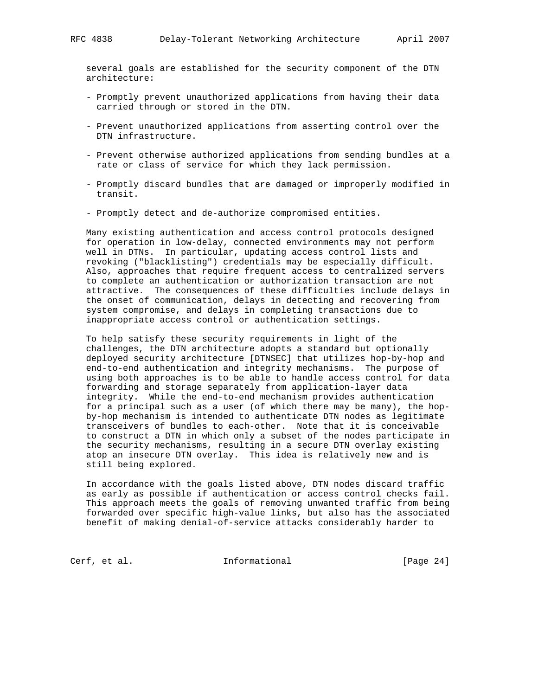several goals are established for the security component of the DTN architecture:

- Promptly prevent unauthorized applications from having their data carried through or stored in the DTN.
- Prevent unauthorized applications from asserting control over the DTN infrastructure.
- Prevent otherwise authorized applications from sending bundles at a rate or class of service for which they lack permission.
- Promptly discard bundles that are damaged or improperly modified in transit.
- Promptly detect and de-authorize compromised entities.

 Many existing authentication and access control protocols designed for operation in low-delay, connected environments may not perform well in DTNs. In particular, updating access control lists and revoking ("blacklisting") credentials may be especially difficult. Also, approaches that require frequent access to centralized servers to complete an authentication or authorization transaction are not attractive. The consequences of these difficulties include delays in the onset of communication, delays in detecting and recovering from system compromise, and delays in completing transactions due to inappropriate access control or authentication settings.

 To help satisfy these security requirements in light of the challenges, the DTN architecture adopts a standard but optionally deployed security architecture [DTNSEC] that utilizes hop-by-hop and end-to-end authentication and integrity mechanisms. The purpose of using both approaches is to be able to handle access control for data forwarding and storage separately from application-layer data integrity. While the end-to-end mechanism provides authentication for a principal such as a user (of which there may be many), the hop by-hop mechanism is intended to authenticate DTN nodes as legitimate transceivers of bundles to each-other. Note that it is conceivable to construct a DTN in which only a subset of the nodes participate in the security mechanisms, resulting in a secure DTN overlay existing atop an insecure DTN overlay. This idea is relatively new and is still being explored.

 In accordance with the goals listed above, DTN nodes discard traffic as early as possible if authentication or access control checks fail. This approach meets the goals of removing unwanted traffic from being forwarded over specific high-value links, but also has the associated benefit of making denial-of-service attacks considerably harder to

Cerf, et al. 1nformational [Page 24]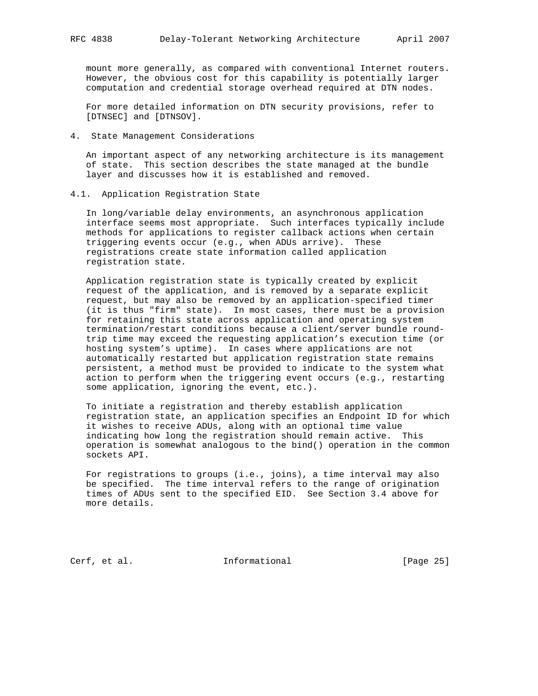mount more generally, as compared with conventional Internet routers. However, the obvious cost for this capability is potentially larger computation and credential storage overhead required at DTN nodes.

 For more detailed information on DTN security provisions, refer to [DTNSEC] and [DTNSOV].

4. State Management Considerations

 An important aspect of any networking architecture is its management of state. This section describes the state managed at the bundle layer and discusses how it is established and removed.

#### 4.1. Application Registration State

 In long/variable delay environments, an asynchronous application interface seems most appropriate. Such interfaces typically include methods for applications to register callback actions when certain triggering events occur (e.g., when ADUs arrive). These registrations create state information called application registration state.

 Application registration state is typically created by explicit request of the application, and is removed by a separate explicit request, but may also be removed by an application-specified timer (it is thus "firm" state). In most cases, there must be a provision for retaining this state across application and operating system termination/restart conditions because a client/server bundle round trip time may exceed the requesting application's execution time (or hosting system's uptime). In cases where applications are not automatically restarted but application registration state remains persistent, a method must be provided to indicate to the system what action to perform when the triggering event occurs (e.g., restarting some application, ignoring the event, etc.).

 To initiate a registration and thereby establish application registration state, an application specifies an Endpoint ID for which it wishes to receive ADUs, along with an optional time value indicating how long the registration should remain active. This operation is somewhat analogous to the bind() operation in the common sockets API.

 For registrations to groups (i.e., joins), a time interval may also be specified. The time interval refers to the range of origination times of ADUs sent to the specified EID. See Section 3.4 above for more details.

Cerf, et al. 1nformational [Page 25]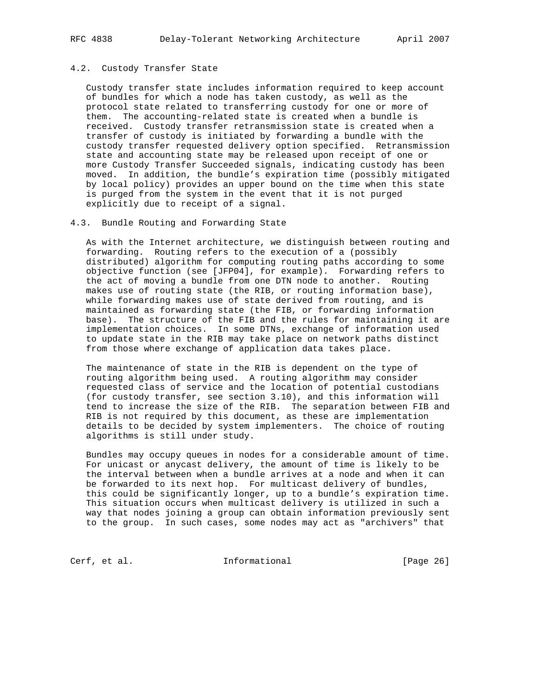## 4.2. Custody Transfer State

 Custody transfer state includes information required to keep account of bundles for which a node has taken custody, as well as the protocol state related to transferring custody for one or more of them. The accounting-related state is created when a bundle is received. Custody transfer retransmission state is created when a transfer of custody is initiated by forwarding a bundle with the custody transfer requested delivery option specified. Retransmission state and accounting state may be released upon receipt of one or more Custody Transfer Succeeded signals, indicating custody has been moved. In addition, the bundle's expiration time (possibly mitigated by local policy) provides an upper bound on the time when this state is purged from the system in the event that it is not purged explicitly due to receipt of a signal.

### 4.3. Bundle Routing and Forwarding State

 As with the Internet architecture, we distinguish between routing and forwarding. Routing refers to the execution of a (possibly distributed) algorithm for computing routing paths according to some objective function (see [JFP04], for example). Forwarding refers to the act of moving a bundle from one DTN node to another. Routing makes use of routing state (the RIB, or routing information base), while forwarding makes use of state derived from routing, and is maintained as forwarding state (the FIB, or forwarding information base). The structure of the FIB and the rules for maintaining it are implementation choices. In some DTNs, exchange of information used to update state in the RIB may take place on network paths distinct from those where exchange of application data takes place.

 The maintenance of state in the RIB is dependent on the type of routing algorithm being used. A routing algorithm may consider requested class of service and the location of potential custodians (for custody transfer, see section 3.10), and this information will tend to increase the size of the RIB. The separation between FIB and RIB is not required by this document, as these are implementation details to be decided by system implementers. The choice of routing algorithms is still under study.

 Bundles may occupy queues in nodes for a considerable amount of time. For unicast or anycast delivery, the amount of time is likely to be the interval between when a bundle arrives at a node and when it can be forwarded to its next hop. For multicast delivery of bundles, this could be significantly longer, up to a bundle's expiration time. This situation occurs when multicast delivery is utilized in such a way that nodes joining a group can obtain information previously sent to the group. In such cases, some nodes may act as "archivers" that

Cerf, et al. 1nformational [Page 26]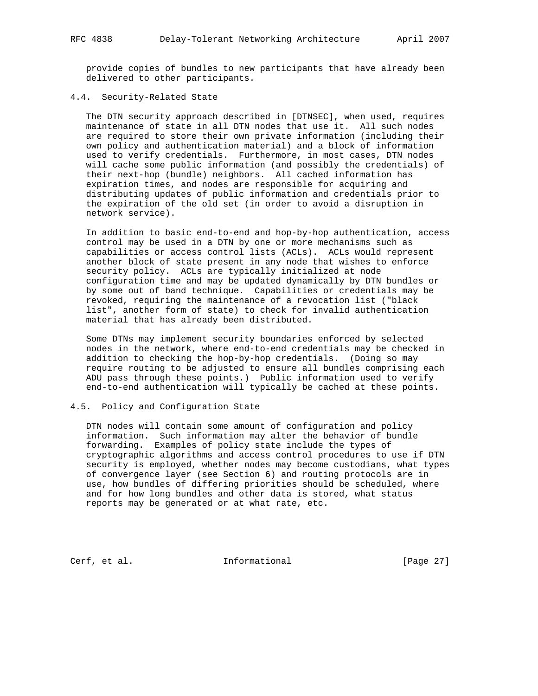provide copies of bundles to new participants that have already been delivered to other participants.

## 4.4. Security-Related State

 The DTN security approach described in [DTNSEC], when used, requires maintenance of state in all DTN nodes that use it. All such nodes are required to store their own private information (including their own policy and authentication material) and a block of information used to verify credentials. Furthermore, in most cases, DTN nodes will cache some public information (and possibly the credentials) of their next-hop (bundle) neighbors. All cached information has expiration times, and nodes are responsible for acquiring and distributing updates of public information and credentials prior to the expiration of the old set (in order to avoid a disruption in network service).

 In addition to basic end-to-end and hop-by-hop authentication, access control may be used in a DTN by one or more mechanisms such as capabilities or access control lists (ACLs). ACLs would represent another block of state present in any node that wishes to enforce security policy. ACLs are typically initialized at node configuration time and may be updated dynamically by DTN bundles or by some out of band technique. Capabilities or credentials may be revoked, requiring the maintenance of a revocation list ("black list", another form of state) to check for invalid authentication material that has already been distributed.

 Some DTNs may implement security boundaries enforced by selected nodes in the network, where end-to-end credentials may be checked in addition to checking the hop-by-hop credentials. (Doing so may require routing to be adjusted to ensure all bundles comprising each ADU pass through these points.) Public information used to verify end-to-end authentication will typically be cached at these points.

#### 4.5. Policy and Configuration State

 DTN nodes will contain some amount of configuration and policy information. Such information may alter the behavior of bundle forwarding. Examples of policy state include the types of cryptographic algorithms and access control procedures to use if DTN security is employed, whether nodes may become custodians, what types of convergence layer (see Section 6) and routing protocols are in use, how bundles of differing priorities should be scheduled, where and for how long bundles and other data is stored, what status reports may be generated or at what rate, etc.

Cerf, et al. 1nformational [Page 27]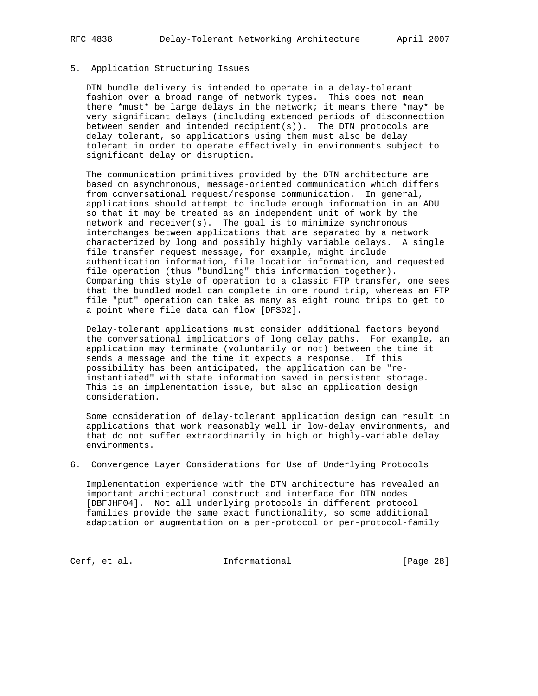## 5. Application Structuring Issues

 DTN bundle delivery is intended to operate in a delay-tolerant fashion over a broad range of network types. This does not mean there \*must\* be large delays in the network; it means there \*may\* be very significant delays (including extended periods of disconnection between sender and intended recipient(s)). The DTN protocols are delay tolerant, so applications using them must also be delay tolerant in order to operate effectively in environments subject to significant delay or disruption.

 The communication primitives provided by the DTN architecture are based on asynchronous, message-oriented communication which differs from conversational request/response communication. In general, applications should attempt to include enough information in an ADU so that it may be treated as an independent unit of work by the network and receiver(s). The goal is to minimize synchronous interchanges between applications that are separated by a network characterized by long and possibly highly variable delays. A single file transfer request message, for example, might include authentication information, file location information, and requested file operation (thus "bundling" this information together). Comparing this style of operation to a classic FTP transfer, one sees that the bundled model can complete in one round trip, whereas an FTP file "put" operation can take as many as eight round trips to get to a point where file data can flow [DFS02].

 Delay-tolerant applications must consider additional factors beyond the conversational implications of long delay paths. For example, an application may terminate (voluntarily or not) between the time it sends a message and the time it expects a response. If this possibility has been anticipated, the application can be "re instantiated" with state information saved in persistent storage. This is an implementation issue, but also an application design consideration.

 Some consideration of delay-tolerant application design can result in applications that work reasonably well in low-delay environments, and that do not suffer extraordinarily in high or highly-variable delay environments.

6. Convergence Layer Considerations for Use of Underlying Protocols

 Implementation experience with the DTN architecture has revealed an important architectural construct and interface for DTN nodes [DBFJHP04]. Not all underlying protocols in different protocol families provide the same exact functionality, so some additional adaptation or augmentation on a per-protocol or per-protocol-family

Cerf, et al. 1nformational [Page 28]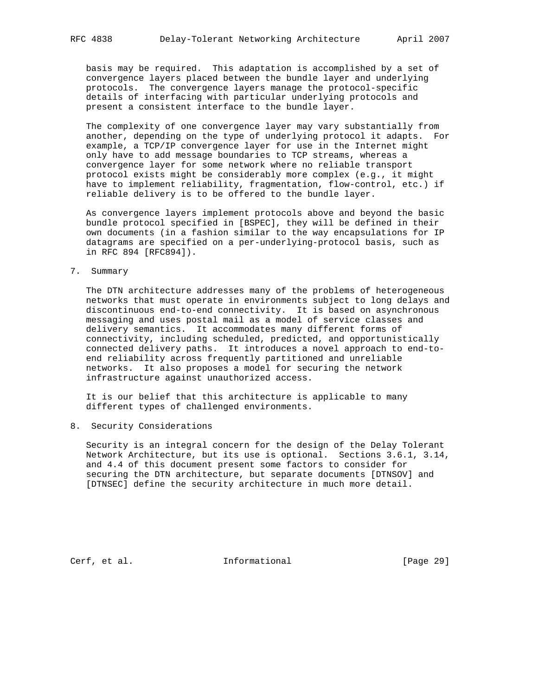basis may be required. This adaptation is accomplished by a set of convergence layers placed between the bundle layer and underlying protocols. The convergence layers manage the protocol-specific details of interfacing with particular underlying protocols and present a consistent interface to the bundle layer.

 The complexity of one convergence layer may vary substantially from another, depending on the type of underlying protocol it adapts. For example, a TCP/IP convergence layer for use in the Internet might only have to add message boundaries to TCP streams, whereas a convergence layer for some network where no reliable transport protocol exists might be considerably more complex (e.g., it might have to implement reliability, fragmentation, flow-control, etc.) if reliable delivery is to be offered to the bundle layer.

 As convergence layers implement protocols above and beyond the basic bundle protocol specified in [BSPEC], they will be defined in their own documents (in a fashion similar to the way encapsulations for IP datagrams are specified on a per-underlying-protocol basis, such as in RFC 894 [RFC894]).

7. Summary

 The DTN architecture addresses many of the problems of heterogeneous networks that must operate in environments subject to long delays and discontinuous end-to-end connectivity. It is based on asynchronous messaging and uses postal mail as a model of service classes and delivery semantics. It accommodates many different forms of connectivity, including scheduled, predicted, and opportunistically connected delivery paths. It introduces a novel approach to end-to end reliability across frequently partitioned and unreliable networks. It also proposes a model for securing the network infrastructure against unauthorized access.

 It is our belief that this architecture is applicable to many different types of challenged environments.

8. Security Considerations

 Security is an integral concern for the design of the Delay Tolerant Network Architecture, but its use is optional. Sections 3.6.1, 3.14, and 4.4 of this document present some factors to consider for securing the DTN architecture, but separate documents [DTNSOV] and [DTNSEC] define the security architecture in much more detail.

Cerf, et al. 1nformational [Page 29]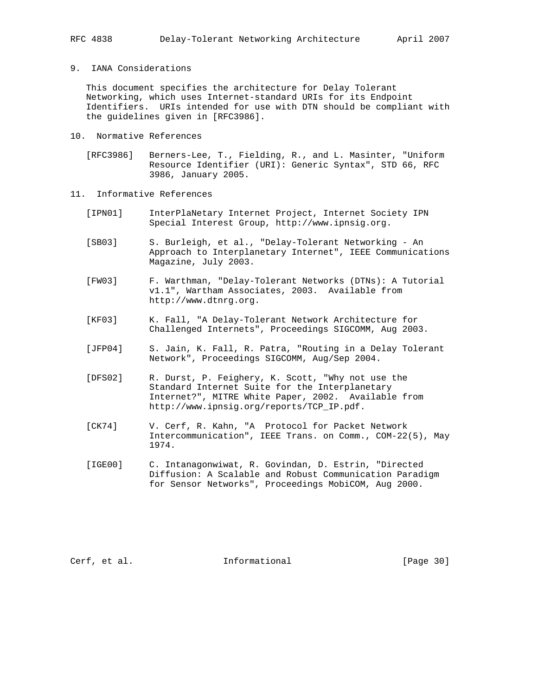## 9. IANA Considerations

 This document specifies the architecture for Delay Tolerant Networking, which uses Internet-standard URIs for its Endpoint Identifiers. URIs intended for use with DTN should be compliant with the guidelines given in [RFC3986].

- 10. Normative References
	- [RFC3986] Berners-Lee, T., Fielding, R., and L. Masinter, "Uniform Resource Identifier (URI): Generic Syntax", STD 66, RFC 3986, January 2005.
- 11. Informative References
	- [IPN01] InterPlaNetary Internet Project, Internet Society IPN Special Interest Group, http://www.ipnsig.org.
	- [SB03] S. Burleigh, et al., "Delay-Tolerant Networking An Approach to Interplanetary Internet", IEEE Communications Magazine, July 2003.
	- [FW03] F. Warthman, "Delay-Tolerant Networks (DTNs): A Tutorial v1.1", Wartham Associates, 2003. Available from http://www.dtnrg.org.
	- [KF03] K. Fall, "A Delay-Tolerant Network Architecture for Challenged Internets", Proceedings SIGCOMM, Aug 2003.
	- [JFP04] S. Jain, K. Fall, R. Patra, "Routing in a Delay Tolerant Network", Proceedings SIGCOMM, Aug/Sep 2004.
	- [DFS02] R. Durst, P. Feighery, K. Scott, "Why not use the Standard Internet Suite for the Interplanetary Internet?", MITRE White Paper, 2002. Available from http://www.ipnsig.org/reports/TCP\_IP.pdf.
	- [CK74] V. Cerf, R. Kahn, "A Protocol for Packet Network Intercommunication", IEEE Trans. on Comm., COM-22(5), May 1974.
	- [IGE00] C. Intanagonwiwat, R. Govindan, D. Estrin, "Directed Diffusion: A Scalable and Robust Communication Paradigm for Sensor Networks", Proceedings MobiCOM, Aug 2000.

Cerf, et al. 1nformational [Page 30]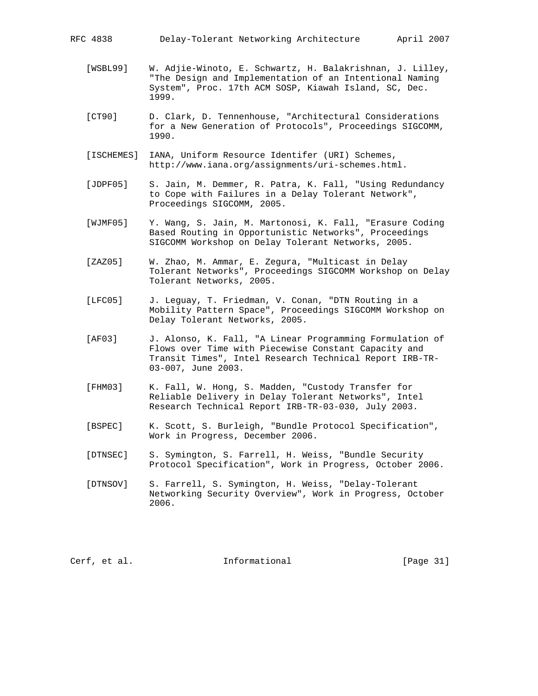- [WSBL99] W. Adjie-Winoto, E. Schwartz, H. Balakrishnan, J. Lilley, "The Design and Implementation of an Intentional Naming System", Proc. 17th ACM SOSP, Kiawah Island, SC, Dec. 1999.
- [CT90] D. Clark, D. Tennenhouse, "Architectural Considerations for a New Generation of Protocols", Proceedings SIGCOMM, 1990.
- [ISCHEMES] IANA, Uniform Resource Identifer (URI) Schemes, http://www.iana.org/assignments/uri-schemes.html.
- [JDPF05] S. Jain, M. Demmer, R. Patra, K. Fall, "Using Redundancy to Cope with Failures in a Delay Tolerant Network", Proceedings SIGCOMM, 2005.
- [WJMF05] Y. Wang, S. Jain, M. Martonosi, K. Fall, "Erasure Coding Based Routing in Opportunistic Networks", Proceedings SIGCOMM Workshop on Delay Tolerant Networks, 2005.
- [ZAZ05] W. Zhao, M. Ammar, E. Zegura, "Multicast in Delay Tolerant Networks", Proceedings SIGCOMM Workshop on Delay Tolerant Networks, 2005.
- [LFC05] J. Leguay, T. Friedman, V. Conan, "DTN Routing in a Mobility Pattern Space", Proceedings SIGCOMM Workshop on Delay Tolerant Networks, 2005.
- [AF03] J. Alonso, K. Fall, "A Linear Programming Formulation of Flows over Time with Piecewise Constant Capacity and Transit Times", Intel Research Technical Report IRB-TR- 03-007, June 2003.
- [FHM03] K. Fall, W. Hong, S. Madden, "Custody Transfer for Reliable Delivery in Delay Tolerant Networks", Intel Research Technical Report IRB-TR-03-030, July 2003.
- [BSPEC] K. Scott, S. Burleigh, "Bundle Protocol Specification", Work in Progress, December 2006.
- [DTNSEC] S. Symington, S. Farrell, H. Weiss, "Bundle Security Protocol Specification", Work in Progress, October 2006.
- [DTNSOV] S. Farrell, S. Symington, H. Weiss, "Delay-Tolerant Networking Security Overview", Work in Progress, October 2006.

Cerf, et al. 1nformational [Page 31]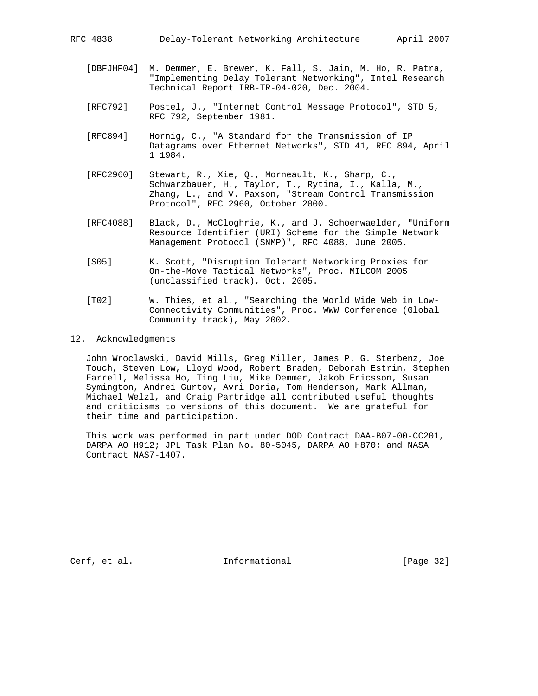- [DBFJHP04] M. Demmer, E. Brewer, K. Fall, S. Jain, M. Ho, R. Patra, "Implementing Delay Tolerant Networking", Intel Research Technical Report IRB-TR-04-020, Dec. 2004.
- [RFC792] Postel, J., "Internet Control Message Protocol", STD 5, RFC 792, September 1981.
- [RFC894] Hornig, C., "A Standard for the Transmission of IP Datagrams over Ethernet Networks", STD 41, RFC 894, April 1 1984.
- [RFC2960] Stewart, R., Xie, Q., Morneault, K., Sharp, C., Schwarzbauer, H., Taylor, T., Rytina, I., Kalla, M., Zhang, L., and V. Paxson, "Stream Control Transmission Protocol", RFC 2960, October 2000.
- [RFC4088] Black, D., McCloghrie, K., and J. Schoenwaelder, "Uniform Resource Identifier (URI) Scheme for the Simple Network Management Protocol (SNMP)", RFC 4088, June 2005.
- [S05] K. Scott, "Disruption Tolerant Networking Proxies for On-the-Move Tactical Networks", Proc. MILCOM 2005 (unclassified track), Oct. 2005.
- [T02] W. Thies, et al., "Searching the World Wide Web in Low- Connectivity Communities", Proc. WWW Conference (Global Community track), May 2002.
- 12. Acknowledgments

 John Wroclawski, David Mills, Greg Miller, James P. G. Sterbenz, Joe Touch, Steven Low, Lloyd Wood, Robert Braden, Deborah Estrin, Stephen Farrell, Melissa Ho, Ting Liu, Mike Demmer, Jakob Ericsson, Susan Symington, Andrei Gurtov, Avri Doria, Tom Henderson, Mark Allman, Michael Welzl, and Craig Partridge all contributed useful thoughts and criticisms to versions of this document. We are grateful for their time and participation.

 This work was performed in part under DOD Contract DAA-B07-00-CC201, DARPA AO H912; JPL Task Plan No. 80-5045, DARPA AO H870; and NASA Contract NAS7-1407.

Cerf, et al. 1nformational [Page 32]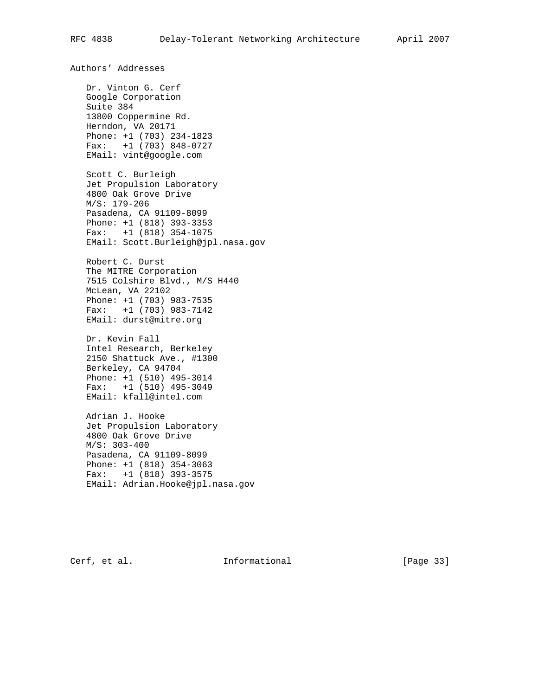Authors' Addresses Dr. Vinton G. Cerf Google Corporation Suite 384 13800 Coppermine Rd. Herndon, VA 20171 Phone: +1 (703) 234-1823 Fax: +1 (703) 848-0727 EMail: vint@google.com Scott C. Burleigh Jet Propulsion Laboratory 4800 Oak Grove Drive M/S: 179-206 Pasadena, CA 91109-8099 Phone: +1 (818) 393-3353 Fax: +1 (818) 354-1075 EMail: Scott.Burleigh@jpl.nasa.gov Robert C. Durst The MITRE Corporation 7515 Colshire Blvd., M/S H440 McLean, VA 22102 Phone: +1 (703) 983-7535 Fax: +1 (703) 983-7142 EMail: durst@mitre.org Dr. Kevin Fall Intel Research, Berkeley 2150 Shattuck Ave., #1300 Berkeley, CA 94704 Phone: +1 (510) 495-3014 Fax: +1 (510) 495-3049 EMail: kfall@intel.com Adrian J. Hooke Jet Propulsion Laboratory 4800 Oak Grove Drive M/S: 303-400 Pasadena, CA 91109-8099 Phone: +1 (818) 354-3063 Fax: +1 (818) 393-3575 EMail: Adrian.Hooke@jpl.nasa.gov

Cerf, et al. **Informational** [Page 33]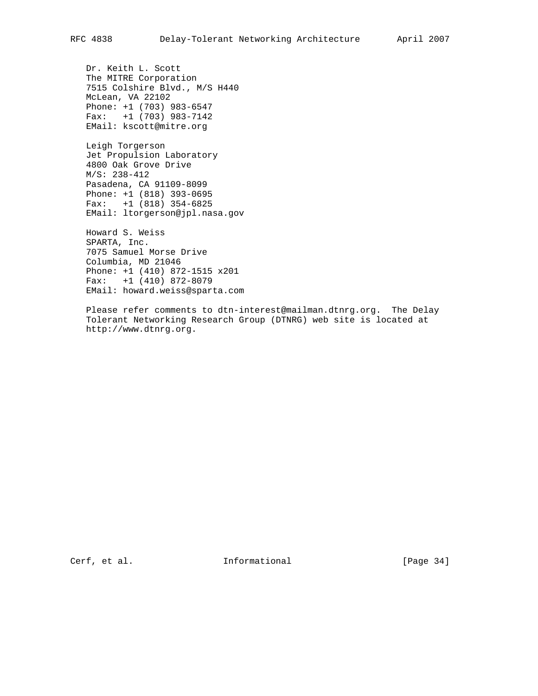Dr. Keith L. Scott The MITRE Corporation 7515 Colshire Blvd., M/S H440 McLean, VA 22102 Phone: +1 (703) 983-6547 Fax: +1 (703) 983-7142 EMail: kscott@mitre.org

 Leigh Torgerson Jet Propulsion Laboratory 4800 Oak Grove Drive M/S: 238-412 Pasadena, CA 91109-8099 Phone: +1 (818) 393-0695 Fax: +1 (818) 354-6825 EMail: ltorgerson@jpl.nasa.gov

 Howard S. Weiss SPARTA, Inc. 7075 Samuel Morse Drive Columbia, MD 21046 Phone: +1 (410) 872-1515 x201 Fax: +1 (410) 872-8079 EMail: howard.weiss@sparta.com

 Please refer comments to dtn-interest@mailman.dtnrg.org. The Delay Tolerant Networking Research Group (DTNRG) web site is located at http://www.dtnrg.org.

Cerf, et al. 1nformational [Page 34]